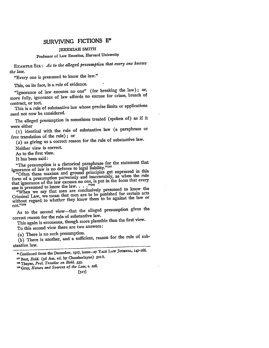# **SURVIVING FICTIONS II\***

#### JEREMIAH SMITH

# Professor of Law Emeritus, Harvard University

**EXAmPLE** Six *: As to the alleged presumption that every one knows the law.*

"Every one is presumed to know the law."

This, on its face, is a rule of evidence.

"Ignorance of law excuses no one" (for breaking the law); or, more fully, ignorance of law affords no excuse for crime, breach of contract, or tort.

This is a rule of substantive law whose precise limits or applications need not now be considered.

The alleged presumption is sometimes treated (spoken of) as if it were either

**(i)** identical with the rule of substantive law (a paraphrase or free translation of the rule) ; or

(2) as giving us a correct reason for the rule of substantive law.

Neither view is correct.

As to the first view.

It has been said:

"The presumption is a rhetorical paraphrase for the statement that ignorance of law is no defence to legal liability."107

"Often these maxims and ground principles get expressed in this form of a presumption perversely and inaccurately, as when the rule torm or a presumption per versely all  $\overline{C}$  one, is put in the form that every that ignorance of the law excuses no one, is put in the form that every one is presumed to know the law. **.. ,**

"When we say that men are conclusively presumed to know the Criminal Law, we mean that men are to be punished for certain acts without regard to whether they know them to be against the law or not."1o9

As to the second view-that the alleged presumption gives the correct reason for the rule of substantive law.

This again is erroneous, though more plausible than the first'view.

To this second view there are two answers:

(a) There is no such presumption.

(b) There is another, and a sufficient, reason for the rule of substantive law.

"'Best, *Evid.* **(8d** Am. ed. **by** Chamberlayne) **31o** *b.*

Thayer, *Prel. Treatise on Eid.* **335.**

**<sup>1</sup> Gray,** *Nature and Sources of the Law,* **s. 228.**

**[3171**

**<sup>\*</sup>** Continued from the December, **1917,** issue-27 **YAiz LAw JouvXA, 147-166.**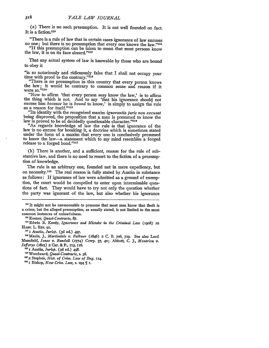(a) There is no such presumption. It is not well founded on fact. It is a fiction.<sup>110</sup>

"There is a rule of law that in certain cases ignorance of law excuses no one; but there is no presumption that every one knows the law."111

"If this presumption can be taken to mean that most persons know the law, it is on its face absurd." $112$ 

That any actual system of law is knowable by those who are bound to obey it

"is so notoriously and ridicuously false that I shall not occupy your time with proof to the contrary."<sup>113</sup>

"There is no presumption in this country that every person knows the law; it would be contrary to common sense and reason if it were so.<sup>5111</sup>

"Now to affirm 'that every person *may* know the law,' is to affirm the thing which is not. And to say 'that his ignorance should not excuse him *because* he is *bound* to know,' is simply to assign the rule as a reason for itself."115

"Its identity with the recognized maxim *ignorantia juris non excusat* being disproved, the proposition that a man is presumed to know the law is proved to be of decidedly questionable character."116

"As regards knowledge of law the rule is that ignorance of the law is no excuse for breaking it, a doctrine which is sometimes stated under the form of a maxim that every one is conclusively presumed to know the law—a statement which to my mind resembles a forged release to a forged bond."<sup>117</sup>

(b) There is another, and a sufficient, reason for the rule of substantive law, and there is no need to resort to the fiction of a presumption of knowledge.

The rule is an arbitrary one, founded not in mere expediency, but on necessity.<sup>118</sup> The real reason is fully stated by Austin in substance as follows: If ignorance of law were admitted as a ground of exemption, the court would be compelled to enter upon interminable questions of fact. They would have to try not only the question whether the party was ignorant of the law, but also whether his ignorance

" It might not be unreasonable to presume that most men know that theft is a crime, but the alleged presumption, as usually stated, is not limited to the most common instances of unlawfulness.

'Keener, *Quasi-Contracts,* 87.

**1** Edwin R. Keedy, *Ignorance and Mistake in the Criminal Law* (igo8) 22 HAav. **L. RFv. 91. = 1** Austin, *Jurisp.* (3d ed.) 497.

1"Maule, 3., *Martindale v. Falkner* (1846) **2** C. B. 7o6, **719.** See also Lord Mansfield, *Jones v. Randall* (1774) Cowp. **37, 40;** Abbott, **C** *3., Montriou v. Jefferys* (1825) **2** Car. **&** P., **H13,** 1I6.

<sup>118</sup> I Austin, *Jurisp.* (3d ed.) 498.<br><sup>116</sup> Woodward, *Quasi-Contracts*, s. 36.

<sup>117</sup> 2 Stephen, *Hist. of Crim. Law of Eng.* 114.

**i** Bishop, *New Grim. Law, s. 294 1* **I.**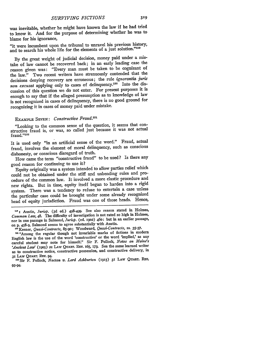was inevitable, whether he might have known the law if he had tried to know it. And for the purpose of determining whether he was to blame for his ignorance,

"it were incumbent upon the tribunal to unravel his previous history, and to search his whole life for the elements of a just solution."119

By the great weight of judicial decision, money paid under a mistake of law cannot be recovered back; in an early leading case the reason given was: "Every man must be taken to be cognizant of the law." Two recent writers have strenuously contended that the decisions denying recovery are erroneous; the rule *ignorantia juris* non excusat applying only to cases of delinquency.<sup>120</sup> Into the discussion of this question we do not enter. For present purposes it is enough to say that if the alleged presumption as to knowledge of law is not recognized in cases of delinquency, there is no good ground for recognizing it in cases of money paid under mistake.

## EXAMPLE SEVEN: *Constructive Fraud."'*

"Looking to the common sense of the question, it seems that constructive fraud is, or was, so called just because it was not actual structive<br>fraud."<sup>122</sup>

It is used only "in an artificial sense of the word." Fraud, actual fraud, involves the element of moral delinquency, such as conscious dishonesty, or conscious disregard of truth.

How came the term "constructive fraud" to be used? Is there any good reason for continuing to use it?

Equity originally was a system intended to allow parties relief which could not be obtained under the stiff and unbending rules and procedure of the common law. It involved a more elastic procedure and new rights. But in time, equity itself began to harden into a rigid system. There was a tendency to refuse to entertain a case unless the particular case could be brought under some already recognized head of equity jurisdiction. Fraud was one of those heads. Hence,

**Wi** Austin, *Jurisp.* (3d ed.) 498-499. See also reason stated in Holmes, *Common Law,* 48. The difficulty of investigation is not rated so high in Holmes, nor in one passage in Salmond, *Jurisp*. (ed. 1902) 460: but in an earlier passage, on **p.** 458-9, Salmond seems to agree substantially with Austin.

'Keener, *Quasi-Contracts,* 85-9o; Woodward, *Quasi-Contracts,* ss. 35-37.

121 "Among the regular though not invariable marks of fictions in modern English law is the use of the word 'constructive' or the word 'implied,' as any careful student may note for himself." Sir F. Pollock, *Notes on Maine's* 'Ancient Law' (1905) 21 LAW QUART. REV. 165, 173. See the same learned writer as to constructive notice, constructive possession, and constructive delivery, in **31** LAw QuAR. **REV.** 94.

<sup>122</sup> Sir F. Pollock, *Nocton v. Lord Ashburton* (1915) 31 LAW QUART. REV. 93-94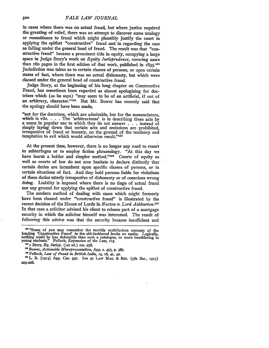in cases where there was no actual fraud, but where justice required the granting of relief, there was an attempt to discover some analogy or resemblance to fraud which might plausibly justify the court in applying the epithet "constructive" fraud and in regarding the case as falling under the general head of fraud. The result was that "constructive fraud" became a prominent title in equity, occupying a large space in Judge Story's work on *Equity Jurisprudence,* covering more than i6o pages in the first edition of that work, published in **1835.123** Jurisdiction was taken as to certain classes of persons, or upon certain states of fact, where there was no actual dishonesty, but which were classed under the general head of constructive fraud.

Judge Story, at the beginning of his long chapter on Constructive Fraud, has sometimes been regarded as almost apologizing for doctrines which (as he says) "may seem to be of an artificial, if not of an arbitrary, character."124 But Mr. Bower has recently said that the apology should have been made,

"not for the doctrines, which are admirable, but for the nomenclature, which is vile. . . . The 'arbitrariness' is in describing these acts by a name in popular use to which they do not answer . . . instead of simply laying down that certain acts and omissions are prohibited, irrespective of fraud or honesty, on the ground of the tendency and temptation to evil which would otherwise result."<sup>125</sup>

At the present time, however, there is no longer any need to resort to subterfuges or to employ fiction phraseology. "At this day we have learnt a bolder and simpler method."<sup>126</sup> Courts of equity as well as courts of law do not now hesitate to declare distinctly that certain duties are incumbent upon specific classes of persons, or in certain situations of fact. And they hold persons liable for violations of these duties utterly irrespective of dishonesty or of conscious wrong doing. Liability is imposed where there is no tinge of actual fraud nor any ground for applying the epithet of constructive fraud.

The modern method of dealing with cases which might formerly have been classed under "constructive fraud" is illustrated **by** the recent decision of the House of Lords in *Nocton v. Lord Ashburton.*<sup>127</sup> In that case a solicitor advised his client to release part of a mortgage security in which the solicitor himself was interested. The result of following this advice was that the security became insufficient and

<sup>&</sup>lt;sup>123</sup> "Some of you may remember the terribly multifarious contents of the heading 'Constructive Fraud' in the old-fashioned books on equity. Logically, nothing could be less detensible than such a catalogue, or more bewildering to young students." Pollock, *Expansion of the Law*, **II5.** 

i *Story, Eq. urisp.* (ist ed.) sec. **258.**

Bower, *Actionable Misrepresentation,* **App.** s. 455, P. 387.

<sup>&#</sup>x27;Pollock, *Law of Fraud in British India,* **i5,** *i6,* 41, **42.**

<sup>&#</sup>x27;L. **P.** [1914] **App.** Cas. **932.** See **40 LAw MAG. &** REv. (5th Ser., **1915) 223-226.**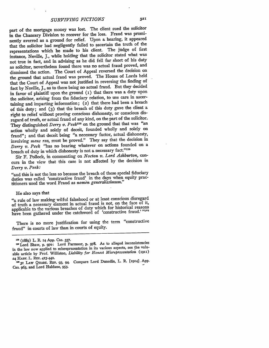part of the mortgage money was lost. The client sued the solicitor in the Chancery Division to recover for the loss. Fraud was prominently averred as a ground for relief. Upon a hearing, it appeared that the solicitor had negligently failed to ascertain the truth of the representations which he made to his client. The juldge of first instance, Neville, J., while holding that the solicitor stated what was not true in fact, and in advising as he did fell far short of his duty as solicitor, nevertheless found there was no actual fraud proved, and dismissed the action. The Court of Appeal reversed the decision on the ground that actual fraud was proved. The House of Lords held that the Court of Appeal was not justified in reversing the finding of fact by Neville, J., as to there being no actual fraud. But they decided in favor of plaintiff upon the ground (i) that there was a duty upon the solicitor, arising from the fiduciary relation, to use care in ascertaining and imparting information; (2) that there had been a breach of this duty; and **(3)** that the breach of this duty gave the client a right to relief without proving conscious dishonesty, or conscious disregard of truth, or actual fraud of any kind, on the part of the solicitor. They distinguished *Derry v. Peek128* on the ground that that was "an action wholly and solely of deceit, founded wholly and solely on fraud"; and that deceit being "a necessary factor, actual dishonesty, involving *mens* rea, must be proved." They say that the decision in *Derry v. Peek* "has no bearing whatever on actions founded on a breach of duty in which dishonesty is not a necessary fact."129

Sir F. Pollock, in commenting on *Nocton v. Lord Ashburton,* concurs in the view that this case is not affected **by** the decision in *Derry v. Peek:*

"and this is not the less so because the breach of these special fiduciary duties was called 'constructive fraud' in the days when equity practitioners used the word Fraud as *nomen generalissimum."*

#### He also says that

"a rule of law making wilful falsehood or at least conscious disregard of truth a necessary element in actual fraud is not, on the face of it, applicable to the various breaches of duty which for historical reasons have been gathered under the catchword of 'constructive fraud.' "180

There is no more justification for using the term "constructive fraud" in courts of law than in courts of equity.

<sup>(1889)</sup> L. *R.* **r4** App. Cas. **337.**

Lord Shaw, **p.** 97o: Lord Parmoor, **p.** 978. As to alleged inconsistencies in the law now applied to misrepresentation in its various aspects, see the valuable article by Prof. Williston, *Liability for Honest Misrepresentation* (1911) **24** HARv. L. **REv. 415-440.**

**<sup>23</sup>M** LAW QuAsR. REv. **93, 94.** Compare Lord Dunedin, L. **R.** [i9x4]. **App.** Cas. 963, and Lord Haldane, 953.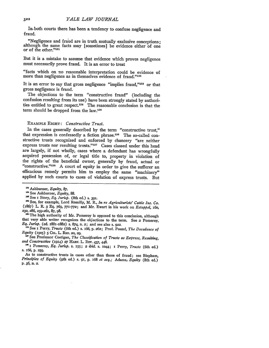In.both courts there has been a tendency to confuse negligence and fraud.

"Negligence and fraud are in truth mutually exclusive conceptions; although the same facts may [sometimes] be evidence either of one or of the other."<sup>131</sup>

But it is a mistake to assume that evidence which proves negligence must necessarily prove fraud. It is an error to treat

"facts which on no reasonable interpretation could be evidence of more than negligence as in themselves evidence of fraud."<sup>132</sup>

It is an error to say that gross negligence "implies fraud,"<sup>133</sup> or that gross negligence is fraud.

The objections to the term "constructive fraud" (including the confusion resulting from its use) have been strongly stated by authorities entitled to great respect.<sup>134</sup> The reasonable conclusion is that the term should be dropped from the law.<sup>135</sup>

### EXAMPLE EIGHT: *Constructive Trust.*

In the cases generally described **by** the term "constructive trust,' that expression is confessedly a fiction phrase.<sup>136</sup> The so-called constructive trusts recognized and enforced **by** chancery "are neither express trusts nor resulting trusts."<sup>137</sup> Cases classed under this head are largely, if not wholly, cases where a defendant has wrongfully acquired possession of, or legal title to, property in violation of the rights of the beneficial owner, generally by fraud, actual or "constructive."<sup>138</sup> A court of equity in order to give the sufferer an efficacious remedy permits him to employ the same "machinery" applied by such courts to cases of violation of express trusts. But

<sup>126</sup> The high authority of Mr. Pomeroy is opposed to this conclusion, although that very able writer recognizes the objections to the term. See *2* Pomeroy, *Eq. Jurisp.* (ed. 1881-1882) s. 874, n. 2; and see also s. *922.*

**'** See i Perry, *Trusts* (6th ed.) s. 166, **p.** 26z; Prof. Pound, *The Decadence of Equity (i9o5)* **5 COL.** L. REV. **20, 29.**

<sup>137</sup> See Professor Costigan, *The Classification of Trusts as Express*, Resulting, and Constructive (1914) 27 HARV. L. REV. 437, 448.

*and Constructive* **(I9I4)** *27* HiAv. L. REv..4 37, 448. **<sup>W</sup>**Pomeroy, *Eq. Turisp.* s. *155; 2 ibid.* s. io44; **i** Perry, *Trusts* (6th ed.) s. *i66,* **p. 259.**

As to constructive trusts in cases other than those of fraud; see Bispham, *Principles of Equity* (9th ed.) s. 9i, **p.** i68 *et seq.;* Adams,, *Equity* (8th ed.) p. **36,** n. **2.**

322

<sup>&</sup>quot;<sup>1</sup> Ashburner, *Equity, 87.*

See Ashburner, *Equity,* 88.

See i Story, *Eq. Jurisp.* (8th ed.) s. **391.**

<sup>184</sup> See, for example, Lord Romilly, M. R., In re Agriculturists' Cattle Ins. Co. (867) L. *IL 3* Eq. *769, 771-772;* and Mr. Ewart in his work on *Estoppel, 16o,* **232,286,259-261, 87, 98.**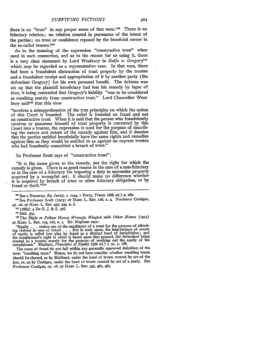there is no "trust" in any proper sense of that term.<sup>139</sup> There is no fiduciary relation; no relation created in pursuance of the intent of the parties; no trust or confidence reposed by the beneficial owner in the so-called trustee.140

As to the meaning of the expression "constructive trust" when used in such connection, and as to the reason for so using it, there is a very clear statement by Lord Westbury in *Rolfe v. Gregory*<sup>141</sup> which may be regarded as a representative case. In that case, there had been a fraudulent abstraction of trust property by the trustee and a fraudulent receipt and appropriation of it by another party (the defendant Gregory) for his own personal benefit. The defense was set up that the plaintiff beneficiary had lost his remedy by lapse of time, it being contended that Gregory's liability "was to be considered as resulting merely from constructive trust." Lord Chancellor Westbury said $142$  that this view

"involves a misapprehension of the true principles on which the action of this Court is founded. The relief is founded on fraud and not on constructive trust. When it is said that the person who fraudulently receives or possesses himself of trust property is converted by this Court into a trustee, the expression is used for the purpose of describing the nature and extent of the remedy against him, and it denotes that the parties entitled beneficially have the same rights and remedies against him as they would be entitled to as against an express trustee who had fraudently committed a breach of trust."

So Professor Scott says of "constructive trust":

"It is the name given to the remedy, not the right for which the remedy is given. There is as good reason in the case of a non-fiduciary as in the case of a fiduciary for imposing a duty to surrender property acquired by a wrongful act; it should make no difference whether it is acquired by breach of trust or other fiduciary obligation, or by fraud or theft."<sup>143</sup>

*"'The Right to Follow Money Wrongly Mingled 'with Other Money* (1913) **27** Harv. **L. REv.** 125, **126,** n. 4. Mr. Bispham says:

"Equity. **..** makes use of the machinery of a trust for the purpose of affording redress in case of fraud **. . .** But in such cases, the interference of courts of equity is called into play **by** fraud as a distinct head of jurisdiction; and the complainant's right to relief is based upon that ground, the defendant being treated as a trustee merely for the purpose of working out the equity of the complainant" Bispham, *Principles of Equity* (9th ed.) s. **9I, p.** 168.

The cases of fraud do not fall within any generally approved definition of the term "resulting trust" Hence, we do not here consider whether resulting trusts should be classed, as **by** Maitland, under the head of trusts created **by** act of the law, or, as **by** Costigan, under the head of trusts created **by** act of a party. See Professor Costigan, *op. cit.* **27** HARv. L. REv. 437, 461, 462.

See 2 Pomeroy, *Eq. Jurisp.* **s. 1O44, i** Perry, *Trusts* (6th ed.) **p. 262.**

**<sup>&#</sup>x27;** See Professor Scott **(913) 27** HARv. L. **REV.** 126, n. 4. Professor Costigan, *op. cit.* **27** HAuv. L. **REv. 437, 439, n. 6.**

**<sup>1</sup>**(1865) 4 De **G. J. & S. 576.** *<sup>T</sup>bid. 579.*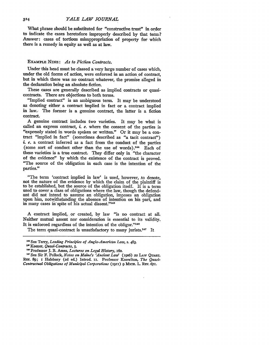What phrase should be substituted for "constructive trust" in order to indicate the cases heretofore improperly described by that term? Answer: cases of tortious misappropriation of property for which there is a remedy in equity as well as at law.

### EXAMPLE NINE: *As to Fiction Contracts.*

Under this head must be classed a very large number of cases which, under the old forms of action, were enforced in an action of contract, but in which there was no contract whatever, the promise alleged in the declaration being an absolute fiction.

These cases are generally described as implied contracts or quasicontracts. There are objections to both terms.

"Implied contract" is an ambiguous term. It may be understood as denoting either a contract implied in fact or a contract implied in law. The former is a genuine contract, the latter is a fiction contract.

A genuine contract includes two varieties. It may be what is called an express contract, *i. e.* where the consent of the parties is "expressly stated in words spoken or written." Or it may be a contract "implied in fact" (sometimes described as "a tacit contract") *i. e.* a contract inferred as a fact from the conduct of the parties (some sort of conduct other than the use of words). $144$  Each of these varieties is a true contract. They differ only in "the character of the evidence" by which the existence of the contract is proved. "The source of the obligation in each case is the intention of the parties."

"The term 'contract implied in law' is used, however, .to denote, not the nature of the evidence **by** which the claim of the plaintiff is to be established, but the source of the obligation itself. It is a term used to cover a class of obligations where the law, though the defendant did not intend to assume an obligation, imposes an obligation upon him, notwithstanding the absence of intention on his part, and in many cases in spite of his actual dissent."145

A contract implied, or created, **by** law "is no contract at all. Neither mutual assent nor consideration is essential to its validity. It is enforced regardless of the intention of the obligor."<sup>146</sup>

The term quasi-contract is unsatisfactory to many jurists.<sup>147</sup> It

<sup>&</sup>lt;sup>14</sup> See Terry, *Leading Principles of Anglo-American Law*, s. 483.<br><sup>14</sup> Keener, *Quasi-Contracts*, 5.

<sup>&</sup>lt;sup>14</sup> Professor J. B. Ames, *Lectures on Legal History*, 160.

<sup>&</sup>lt;sup>147</sup> See Sir F. Pollock, *Notes on Maine's 'Ancient Law'* (1906) 22 LAW QUART. REv. **89; i** Halsbury **(2d** ed.) Introd. **ii.** Professor Knowlton, *The Quasi-Contractual Obligations of Municipal Corporations* (1911) 9 MICH. L. REV. 671.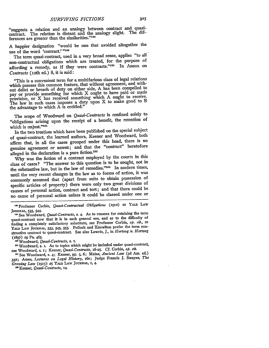"suggests a relation and an analogy between contract and quasicontract. The relation is distant and the analogy slight. The differences are greater than the similarities."148

A happier designation "would be one that avoided altogether the use of the word 'contract.' "149

The term quasi-contract, used in a very broad sense, applies "to all non-contractual obligations which are treated, for the purpose of affording a remedy, as if they were contracts."<sup>150</sup> In Anson on *Contracts* (i2th ed.) 8, it is said:

"This is a convenient term for a multifarious class of legal relations which possess this common feature, that without agreement, and without delict or breach of duty on either side, A has been compelled to pay or provide something for which X ought to have paid or made provision, or X has received something which A ought to receive. The law in such cases imposes a duty upon X to make good to B the advantage to which A is entitled."

The scope of Woodward on *Quasi-Contracts* is confined solely to "obligations arising upon the receipt of a benefit, the retention of which is unjust."151

In the two treatises which have been published on the special subject of quasi-contract, the learned authors, Keener and Woodward, both affirm that, in all the cases grouped under this head, there is no genuine agreement or assent; and that the "contract" heretofore alleged in the declaration is a pure fiction.<sup>151</sup>

Why was the fiction of a contract employed **by** the courts in this class of cases? "The answer to this question is to be sought, not in the substantive law, but in the law of remedies."<sup>153</sup> In modern times, until the very recent changes in the law as to forms of action, it was commonly assumed that (apart from suits to obtain possession of specific articles of property) there were only two great divisions of causes of personal action, contract and tort; and that there could be no cause of personal action unless it could be classed under one or

'Professor Corbin, *Quasi-Contractual Obligations* (1912) **21** YALE LAW JOURNAL, 533, 544.

<sup>14</sup> See Woodward, *Quasi-Contracts*, s. 4. As to reasons for retaining the term quasi-contract now that it is in such general use, and as to the difficulty of finding a completely satisfactory substitute, see Professor Corbin, *op. Cit.,* **<sup>21</sup> YALE** LAW JOURNAL, 533, 545, 553. Pollock and Knowlton prefer the term constructive contract to quasi-contract See also Lowrie, J., in *Hertzog v. Hertzog* (857) **29** Pa. 465.

'Woodward, *Quasi-Contracts, s.* **x.**

'Woodward, s. **i.** As to topics which might be included under quasi-contract, see Woodward, s. **i;** Keener, *Quasi-Contracts,* 16-25. *Cf.* Corbin, *op.* **cit.**

<sup>122</sup> See Woodward, s. 4; Keener, pp. 5, 6; Maine, Ancient Law (3d Am. ed.) **332;** Ames, *Lectures on Legal History, i6o;* Judge Francis J. Swayze, *The Growing Law* **(915) 25** YArx **LAw JouRNAL, x,** *4.*

*'Keener, Quasi-Contracts,* **14.**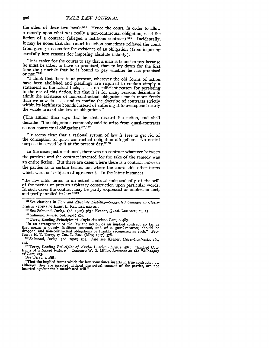the other of these two heads.<sup>154</sup> Hence the court, in order to allow a remedy upon what was really a non-contractual obligation, used the fiction of a contract (alleged a fictitious contract).<sup>155</sup> Incidentally, it may be noted that this resort to fiction sometimes relieved the court from giving reasons for the existence of an obligation (from inquiring carefully into reasons for imposing absolute liability).

"It is easier for the courts to say that a man is bound to pay because he must be taken to have so promised, than to lay down for the first time the principle that he is bound to pay whether he has promised or not."<sup>15</sup>

"I think that there is at present, wherever the old forms of action have been abolished and pleadings are required to contain simply a statement of the actual facts, . **.** . no sufficient reason for persisting in the use of this fiction, but that it is for many reasons desirable to admit the existence of non-contractual obligations much more freely than we now do . . . and to confine the doctrine of contracts strictly within its legitimate bounds instead of suffering it to overspread nearly the whole area of the law of obligations."

(The author then says that he shall discard the fiction, and shall describe "the obligations commonly said to arise from quasi-contracts as non-contractual obligations.") <sup>157</sup>

"It seems clear that a rational system of law is free to get rid of the conception of quasi contractual obligation altogether. No useful purpose is served by it at the present day."158

In the cases just mentioned, there was no contract whatever between the parties; and the contract invented for the sake of the remedy was an entire fiction. But there are cases where there is a contract between the parties as to certain terms, and where the court adds other terms which were not subjects of agreement. In the latter instances

"the law adds terms to an actual contract independently of the will of the parties or puts an arbitrary construction upon particular words. In such cases the contract may be partly expressed or implied in fact, and partly implied in law."'159

<sup>154</sup> See citations in *Tort and Absolute Liability*—Suggested Changes in Classi*fication* **(1917) 30** HARv. L. **REv.** 241, **242-243.**

See Salmond, *Jurisp.* (ed. i9o2) **563;** Keener, *Quasi-Contracts,* **14, 15.**

Salmond, *Jurisp.* (ed. *1902)* 564.

<sup>157</sup> Terry, *Leading Principles of Anglo-American Law*, s. 483.<br>"In an arrangement of the law the notion of an implied contract, so far as that means a purely fictitious contract, and of a quasi-contract, should be<br>dropped, and non-contractual obligations be frankly recognized as such." Professor H. T. Terry, **17** CoL. L, REv. (May, **1917)** 378.

**'** Salmond, *Jurisp.* (ed. **19oz)** 564. And see Keener, *Quasi-Contracts, i6o, 172.* Terry, *Leading Principles of Anglo-American Law,* s. 485: "Implied Con-

tracts of a Mixed Nature." Compare W. G. Miller, *Lectures on the Philosophy of Law,* **213.** See Terry, s. **488:**

"That the implied terms which the law sometimes inserts in true contracts..., although they are inserted without the actual consent of the parties, are not inserted against their manifested will."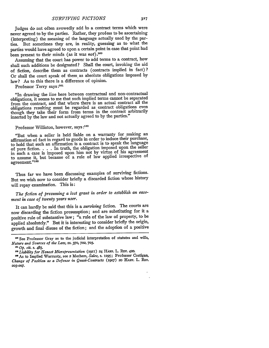Judges do not often avowedly add to a contract terms which were never agreed to by the parties. Rather, they profess to be ascertaining (interpreting) the meaning of the language actually used by the parties. But sometimes they are, in reality, guessing as to what the parties would have agreed to upon a certain point in case that point had been present to their minds (as it was *not*).<sup>160</sup>

Assuming that the court has power to add terms to a contract, how shall such additions be designated? Shall the court, invoking the aid of fiction, describe them as contracts (contracts implied in fact)? Or shall the court speak of them as absolute obligations imposed by law? As to this there is a difference of opinion.

Professor Terry says:<sup>161</sup>

"In drawing the line here between contractual and non-contractual obligations, it seems to me that such implied terms cannot be separated from the contract, and that where there is an actual contract all the obligations resulting must be regarded as contract obligations even though they take their form from terms in the contract arbitrarily inserted by the law and not actually agreed to by the parties."

## Professor Williston, however, says **:162**

"But when a seller is held liable on a warranty for making an affirmation of fact in regard to goods in order to induce their purchase, to hold that such an affirmation is a contract is to speak the language of pure fiction. . . In truth, the obligation imposed upon the seller in such a case is imposed upon him not by virtue of his agreement to assume it, but because of a rule of law applied irrespective of agreement."<sup>168</sup>

Thus far we have been discussing examples of surviving fictions. But we wish now to consider briefly a discarded fiction whose history will repay examination. This is:

## *The fiction of presuming a lost grant in order to establish an easewnent in case of twenty years user.*

It can hardly be said that this is a *surviving* **fiction.** The courts are now discarding the fiction presumption; and are substituting for it a positive rule of substantive law; "a rule of the law of property, to be applied absolutely." But it is interesting to consider briefly the origin, growth and final disuse of the fiction; and the adoption of a positive

<sup>100</sup> See Professor Gray as to the judicial interpretation of statutes and wills, *Nature and Sources of the Law,* ss. **370, 702, 703.**

**<sup>&</sup>quot;** *Op. cit. s.* 485.

<sup>&</sup>lt;sup>122</sup> Liability for Honest Misrepresentation (1911) 24 HARV. L. REV. 420.

<sup>&</sup>lt;sup>158</sup> As to Implied Warranty, see 2 Mechem, *Sales*, s. 1295; Professor Costigan, *Change of Position as a Defense in Quasi-Contracts (1907) 20 HARV. L. REV.* **205-207.**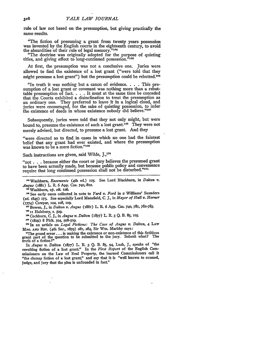rule of law not based on the presumption, but giving practically the same results.

'The fiction of presuming a grant from twenty years possession was invented by the English courts in the eighteenth century, to avoid the absurdities of their rule of legal memory."16

"The doctrine was originally adopted for the purpose of quieting titles, and giving effect to long-continued possession.<sup> $n_{165}$ </sup>

At first, the presumption was not a conclusive one. Juries were allowed to find the existence of a lost grant ("were told that they might presume a lost grant") but the presumption could be rebutted.<sup>166</sup>

"In truth it was nothing but a canon of evidence. . **.** . This presumption of a lost grant or covenant was nothing more than a rebuttable presumption of fact. . **.** . It must at the same time be conceded that the Courts exhibited a disinclination to treat the presumption as an ordinary one. They preferred to leave it in a logical cloud, and juries were encouraged, for the sake of quieting possession, to infer the existence of deeds in whose existence nobody did believe."<sup>167</sup>

Subsequently, juries were told that they not only might, but were bound to, presume the existence of such a lost grant.168 They were not merely advised, but directed, to presume a lost grant. And they

"were directed so to find in cases in which no one had the faintest belief that any grant had ever existed, and where the presumption was known to be a mere fiction."<sup>169</sup>

Such instructions are given, said Wilde, J.,<sup>170</sup>

"not **. .** .because either the court or jury believes the presumed grant to have been actually made, but because public policy and convenience require that long continued possession shall not be disturbed."171

**I"** Washburn, *Easements* (4th ed.) **125.** See Lord Blackburn, in *Dalton v. Angus* **(i88x)** L. R. 6 App. Cas. 74o,.812.

Washburn, *op. cit. 126.*

<sup>168</sup> See early cases collected in note to *Yard v. Ford* in 2 Williams' Saunders (ed. 1845) **i75.** See especially Lord Mansfield, **C. J.,** in *Mayor of Hull v. Homer*

**(1774)** Cowper, zo8, xo **.** <sup>17</sup> Bowen, **J.,** in *Dalton v. Angus* (I88I) L. R. **6 App.** Cas. **740, 781, 782-783.**

<sup>168</sup> II Halsbury, s. 529.

Cockburn, C. **J.,** in *Angus vi. Dalton* **(x877)** L. R. 3 **Q.** B. **85, 105.**

**<sup>1</sup>(1829)** 8 Pick. **504, 508-509.**

<sup>171</sup> In an article on *Legal Fictions: The Case of Angus v. Dalton*, 4 LAW **MAG. AND REV.** (4th Ser., 1879) 281, 284, Sir Wm. Markby says:<br>"The grand error . . . is making the existence or non-existence of this fictitious

"The grand error... is making the existence or non-existence of this fictitious grant part of the question to be submitted to the jury. Submit what? The truth of a fiction?"

In *Angus v. Dalton* **(1877)** L. R. 3 **Q.** B. **85, 94,** Lush, **J.,** speaks of "the revolting fiction of a lost grant" In the *First Report* of the English **Com**missioners on the Law of Real Property, the learned Commissioners call it "the clumsy fiction of a lost grant," and say that it is "well known to counsel, judge, and jury that the plea is unfounded in fact."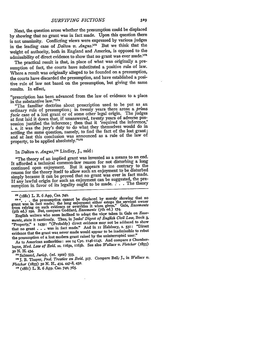Next, the question arose whether the presumption could be displaced **by** showing that no grant was in fact made. Upon this question there is not unanimity. Conflicting views were expressed **by** various judges in the leading case of *Dalton v. Angus.<sup>172</sup>* But we think that the weight of authority, both in England and America, is opposed to the admissibility of direct evidence to show that no grant was ever made.<sup>178</sup>

The practical result is that, in place of what was originally a presumption of fact, the courts have substituted a positive rule of law. Where a result was originally alleged to be founded on a presumption, the courts have discarded the presumption, and have established a positive rule of law not based on the presumption, but giving the same results. In effect,

"prescription has been advanced from the law of evidence to a place in the substantive law."174

"The familiar doctrine about prescription used to be put as an ordinary rule of presumption; in twenty years there arose a *prima* facie case of a lost grant or of some other legal origin. The judges at first laid it down that, if unanswered, tventy years of adverse possession justified the inference; then that it 'required the inference, **i.** e. **it** was the jury's duty to do what they themselves would do in settling the same question, namely, to find the fact of the lost grant; and at last this conclusion was announced as a rule of the law of property, to be applied absolutely."<sup>175</sup>

## In *Dalton v. Angus*,<sup>176</sup> Lindley, J., said:

"The theory of an implied grant was invented as a means to an end. It afforded a technical common-law reason for not disturbing a long continued open enjoyment. But it appears to me contrary to the reason for the theory itself to allow such an enjoyment to be disturbed simply because it can be proved that no grant was ever in fact made. If any lawful origin for such an enjoyment can be suggested, the presumption in favor of its legality ought to be made. . . . The theory

English writers who seem inclined to adopt the viqw taken in Gale on *Easements,* state it cautiously. Thus, in Jenks' *Digest of English Civil Law,* Book **3,** "Property," s **1439:** "(Probably) direct evidence may not be adduced to show that no grant **. . .** was in fact made." And in *xi* Halsbury, **s. 531:** "Direct evidence that the grant was never made would appear to be inadmissible to rebut the presumption of a lost modem grant raised **by** the uninterrupted user."

As to American authorities: see **14** Cyc. **1146-1147.** And compare *2* Chamberlayne, *Mod. Law of* **Evid.** ss. ix63a, 163b. See also *Wallace v'. Fletcher* **(i855) 30** N. **H.** 434.

<sup>174</sup> Salmond, *Jurisp.* (ed. 1902) 533.

*"3J.* B. Thayer, Prel. *Treatise on Evid.* **317.** Compare Bell; **J.,** in *Wallace v. Fletcher* **(1855) 3o N.** H., 434, 447-8, **452.**

**172** (i88i) L. 1. 6 App. Cas. **740, 765.**

<sup>2 (</sup>i8Sx) L. M. 6 **App.,** Cas. **74o.**

**<sup>172</sup>c .** the presumption cannot be displaced **by** merely showing that no grant was in fact made; the long enjoyment either estops the servient owner from relying on such evidence or overrides it when given." Gale, *Easements* (9th ed.) x92. But, compare Goddard, *Easements* (7th ed.) **174.**